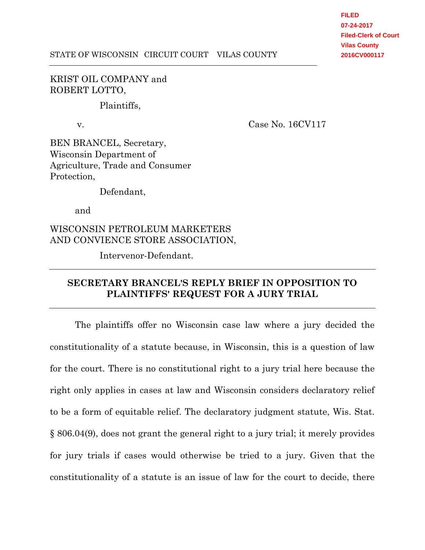**FILED 07-24-2017 Filed-Clerk of Court Vilas County 2016CV000117**

## KRIST OIL COMPANY and ROBERT LOTTO,

Plaintiffs,

v. Case No. 16CV117

BEN BRANCEL, Secretary, Wisconsin Department of Agriculture, Trade and Consumer Protection,

Defendant,

and

WISCONSIN PETROLEUM MARKETERS AND CONVIENCE STORE ASSOCIATION,

Intervenor-Defendant.

# **SECRETARY BRANCEL'S REPLY BRIEF IN OPPOSITION TO PLAINTIFFS' REQUEST FOR A JURY TRIAL**

The plaintiffs offer no Wisconsin case law where a jury decided the constitutionality of a statute because, in Wisconsin, this is a question of law for the court. There is no constitutional right to a jury trial here because the right only applies in cases at law and Wisconsin considers declaratory relief to be a form of equitable relief. The declaratory judgment statute, Wis. Stat. § 806.04(9), does not grant the general right to a jury trial; it merely provides for jury trials if cases would otherwise be tried to a jury. Given that the constitutionality of a statute is an issue of law for the court to decide, there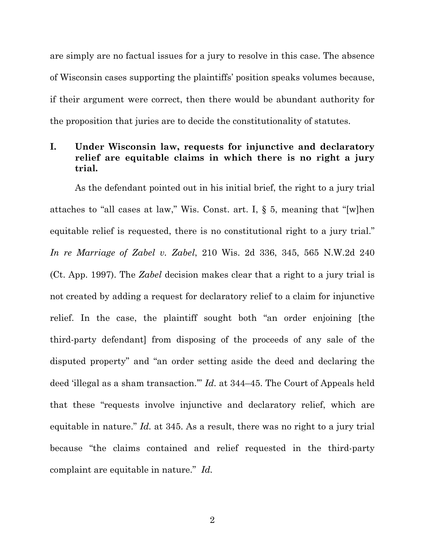are simply are no factual issues for a jury to resolve in this case. The absence of Wisconsin cases supporting the plaintiffs' position speaks volumes because, if their argument were correct, then there would be abundant authority for the proposition that juries are to decide the constitutionality of statutes.

# **I. Under Wisconsin law, requests for injunctive and declaratory relief are equitable claims in which there is no right a jury trial.**

As the defendant pointed out in his initial brief, the right to a jury trial attaches to "all cases at law," Wis. Const. art. I, § 5, meaning that "[w]hen equitable relief is requested, there is no constitutional right to a jury trial." *In re Marriage of Zabel v. Zabel*, 210 Wis. 2d 336, 345, 565 N.W.2d 240 (Ct. App. 1997). The *Zabel* decision makes clear that a right to a jury trial is not created by adding a request for declaratory relief to a claim for injunctive relief. In the case, the plaintiff sought both "an order enjoining [the third-party defendant] from disposing of the proceeds of any sale of the disputed property" and "an order setting aside the deed and declaring the deed 'illegal as a sham transaction.'" *Id.* at 344–45. The Court of Appeals held that these "requests involve injunctive and declaratory relief, which are equitable in nature." *Id.* at 345. As a result, there was no right to a jury trial because "the claims contained and relief requested in the third-party complaint are equitable in nature." *Id.*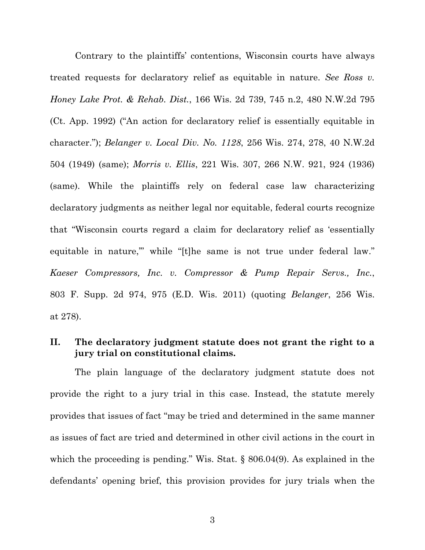Contrary to the plaintiffs' contentions, Wisconsin courts have always treated requests for declaratory relief as equitable in nature. *See Ross v. Honey Lake Prot. & Rehab. Dist.*, 166 Wis. 2d 739, 745 n.2, 480 N.W.2d 795 (Ct. App. 1992) ("An action for declaratory relief is essentially equitable in character."); *Belanger v. Local Div. No. 1128*, 256 Wis. 274, 278, 40 N.W.2d 504 (1949) (same); *Morris v. Ellis*, 221 Wis. 307, 266 N.W. 921, 924 (1936) (same). While the plaintiffs rely on federal case law characterizing declaratory judgments as neither legal nor equitable, federal courts recognize that "Wisconsin courts regard a claim for declaratory relief as 'essentially equitable in nature," while "[t]he same is not true under federal law." *Kaeser Compressors, Inc. v. Compressor & Pump Repair Servs., Inc.*, 803 F. Supp. 2d 974, 975 (E.D. Wis. 2011) (quoting *Belanger*, 256 Wis. at 278).

## **II. The declaratory judgment statute does not grant the right to a jury trial on constitutional claims.**

The plain language of the declaratory judgment statute does not provide the right to a jury trial in this case. Instead, the statute merely provides that issues of fact "may be tried and determined in the same manner as issues of fact are tried and determined in other civil actions in the court in which the proceeding is pending." Wis. Stat. § 806.04(9). As explained in the defendants' opening brief, this provision provides for jury trials when the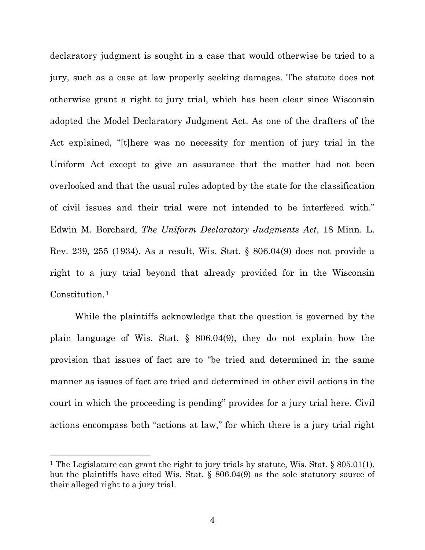declaratory judgment is sought in a case that would otherwise be tried to a jury, such as a case at law properly seeking damages. The statute does not otherwise grant a right to jury trial, which has been clear since Wisconsin adopted the Model Declaratory Judgment Act. As one of the drafters of the Act explained, "[t]here was no necessity for mention of jury trial in the Uniform Act except to give an assurance that the matter had not been overlooked and that the usual rules adopted by the state for the classification of civil issues and their trial were not intended to be interfered with." Edwin M. Borchard, *The Uniform Declaratory Judgments Act*, 18 Minn. L. Rev. 239, 255 (1934). As a result, Wis. Stat. § 806.04(9) does not provide a right to a jury trial beyond that already provided for in the Wisconsin Constitution.<sup>1</sup>

While the plaintiffs acknowledge that the question is governed by the plain language of Wis. Stat. § 806.04(9), they do not explain how the provision that issues of fact are to "be tried and determined in the same manner as issues of fact are tried and determined in other civil actions in the court in which the proceeding is pending" provides for a jury trial here. Civil actions encompass both "actions at law," for which there is a jury trial right

 $\overline{a}$ 

<sup>&</sup>lt;sup>1</sup> The Legislature can grant the right to jury trials by statute, Wis. Stat. § 805.01(1), but the plaintiffs have cited Wis. Stat. § 806.04(9) as the sole statutory source of their alleged right to a jury trial.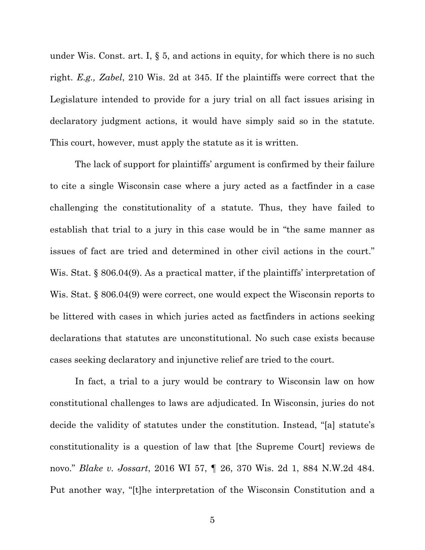under Wis. Const. art. I, § 5, and actions in equity, for which there is no such right. *E.g., Zabel*, 210 Wis. 2d at 345. If the plaintiffs were correct that the Legislature intended to provide for a jury trial on all fact issues arising in declaratory judgment actions, it would have simply said so in the statute. This court, however, must apply the statute as it is written.

The lack of support for plaintiffs' argument is confirmed by their failure to cite a single Wisconsin case where a jury acted as a factfinder in a case challenging the constitutionality of a statute. Thus, they have failed to establish that trial to a jury in this case would be in "the same manner as issues of fact are tried and determined in other civil actions in the court." Wis. Stat. § 806.04(9). As a practical matter, if the plaintiffs' interpretation of Wis. Stat. § 806.04(9) were correct, one would expect the Wisconsin reports to be littered with cases in which juries acted as factfinders in actions seeking declarations that statutes are unconstitutional. No such case exists because cases seeking declaratory and injunctive relief are tried to the court.

In fact, a trial to a jury would be contrary to Wisconsin law on how constitutional challenges to laws are adjudicated. In Wisconsin, juries do not decide the validity of statutes under the constitution. Instead, "[a] statute's constitutionality is a question of law that [the Supreme Court] reviews de novo." *Blake v. Jossart*, 2016 WI 57, ¶ 26, 370 Wis. 2d 1, 884 N.W.2d 484. Put another way, "[t]he interpretation of the Wisconsin Constitution and a

5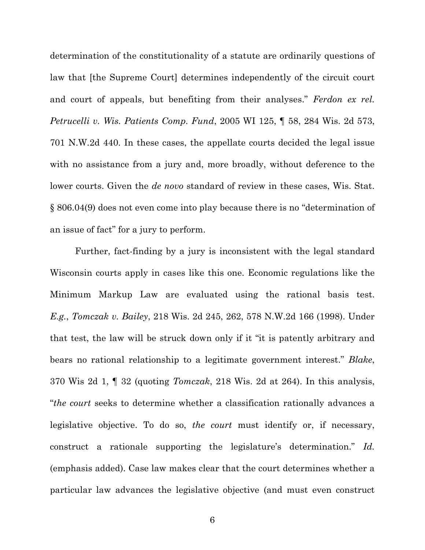determination of the constitutionality of a statute are ordinarily questions of law that [the Supreme Court] determines independently of the circuit court and court of appeals, but benefiting from their analyses." *Ferdon ex rel. Petrucelli v. Wis. Patients Comp. Fund*, 2005 WI 125, ¶ 58, 284 Wis. 2d 573, 701 N.W.2d 440. In these cases, the appellate courts decided the legal issue with no assistance from a jury and, more broadly, without deference to the lower courts. Given the *de novo* standard of review in these cases, Wis. Stat. § 806.04(9) does not even come into play because there is no "determination of an issue of fact" for a jury to perform.

Further, fact-finding by a jury is inconsistent with the legal standard Wisconsin courts apply in cases like this one. Economic regulations like the Minimum Markup Law are evaluated using the rational basis test. *E.g.*, *Tomczak v. Bailey*, 218 Wis. 2d 245, 262, 578 N.W.2d 166 (1998). Under that test, the law will be struck down only if it "it is patently arbitrary and bears no rational relationship to a legitimate government interest." *Blake*, 370 Wis 2d 1, ¶ 32 (quoting *Tomczak*, 218 Wis. 2d at 264). In this analysis, "*the court* seeks to determine whether a classification rationally advances a legislative objective. To do so, *the court* must identify or, if necessary, construct a rationale supporting the legislature's determination." *Id.* (emphasis added). Case law makes clear that the court determines whether a particular law advances the legislative objective (and must even construct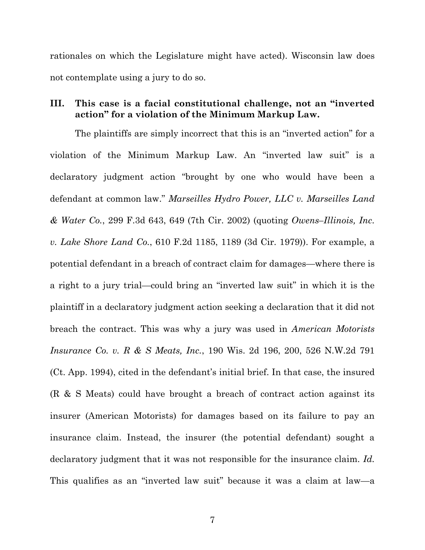rationales on which the Legislature might have acted). Wisconsin law does not contemplate using a jury to do so.

# **III. This case is a facial constitutional challenge, not an "inverted action" for a violation of the Minimum Markup Law.**

The plaintiffs are simply incorrect that this is an "inverted action" for a violation of the Minimum Markup Law. An "inverted law suit" is a declaratory judgment action "brought by one who would have been a defendant at common law." *Marseilles Hydro Power, LLC v. Marseilles Land & Water Co.*, 299 F.3d 643, 649 (7th Cir. 2002) (quoting *Owens–Illinois, Inc. v. Lake Shore Land Co.*, 610 F.2d 1185, 1189 (3d Cir. 1979)). For example, a potential defendant in a breach of contract claim for damages—where there is a right to a jury trial—could bring an "inverted law suit" in which it is the plaintiff in a declaratory judgment action seeking a declaration that it did not breach the contract. This was why a jury was used in *American Motorists Insurance Co. v. R & S Meats, Inc.*, 190 Wis. 2d 196, 200, 526 N.W.2d 791 (Ct. App. 1994), cited in the defendant's initial brief. In that case, the insured (R & S Meats) could have brought a breach of contract action against its insurer (American Motorists) for damages based on its failure to pay an insurance claim. Instead, the insurer (the potential defendant) sought a declaratory judgment that it was not responsible for the insurance claim. *Id.* This qualifies as an "inverted law suit" because it was a claim at law—a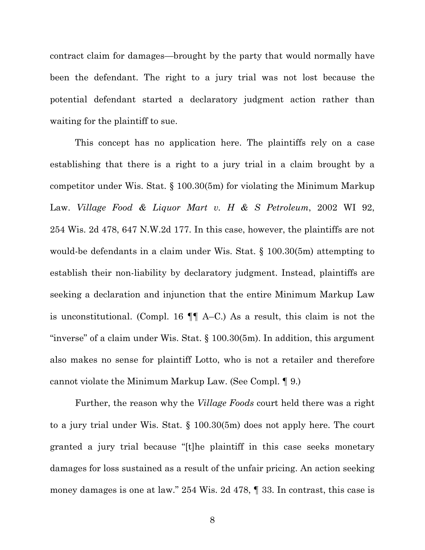contract claim for damages—brought by the party that would normally have been the defendant. The right to a jury trial was not lost because the potential defendant started a declaratory judgment action rather than waiting for the plaintiff to sue.

This concept has no application here. The plaintiffs rely on a case establishing that there is a right to a jury trial in a claim brought by a competitor under Wis. Stat. § 100.30(5m) for violating the Minimum Markup Law. *Village Food & Liquor Mart v. H & S Petroleum*, 2002 WI 92, 254 Wis. 2d 478, 647 N.W.2d 177. In this case, however, the plaintiffs are not would-be defendants in a claim under Wis. Stat. § 100.30(5m) attempting to establish their non-liability by declaratory judgment. Instead, plaintiffs are seeking a declaration and injunction that the entire Minimum Markup Law is unconstitutional. (Compl. 16 ¶¶ A–C.) As a result, this claim is not the "inverse" of a claim under Wis. Stat. § 100.30(5m). In addition, this argument also makes no sense for plaintiff Lotto, who is not a retailer and therefore cannot violate the Minimum Markup Law. (See Compl. ¶ 9.)

Further, the reason why the *Village Foods* court held there was a right to a jury trial under Wis. Stat. § 100.30(5m) does not apply here. The court granted a jury trial because "[t]he plaintiff in this case seeks monetary damages for loss sustained as a result of the unfair pricing. An action seeking money damages is one at law." 254 Wis. 2d 478, ¶ 33. In contrast, this case is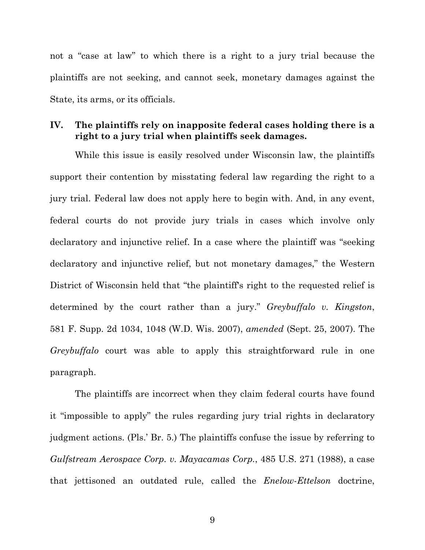not a "case at law" to which there is a right to a jury trial because the plaintiffs are not seeking, and cannot seek, monetary damages against the State, its arms, or its officials.

# **IV. The plaintiffs rely on inapposite federal cases holding there is a right to a jury trial when plaintiffs seek damages.**

While this issue is easily resolved under Wisconsin law, the plaintiffs support their contention by misstating federal law regarding the right to a jury trial. Federal law does not apply here to begin with. And, in any event, federal courts do not provide jury trials in cases which involve only declaratory and injunctive relief. In a case where the plaintiff was "seeking declaratory and injunctive relief, but not monetary damages," the Western District of Wisconsin held that "the plaintiff's right to the requested relief is determined by the court rather than a jury." *Greybuffalo v. Kingston*, 581 F. Supp. 2d 1034, 1048 (W.D. Wis. 2007), *amended* (Sept. 25, 2007). The *Greybuffalo* court was able to apply this straightforward rule in one paragraph.

The plaintiffs are incorrect when they claim federal courts have found it "impossible to apply" the rules regarding jury trial rights in declaratory judgment actions. (Pls.' Br. 5.) The plaintiffs confuse the issue by referring to *Gulfstream Aerospace Corp. v. Mayacamas Corp.*, 485 U.S. 271 (1988), a case that jettisoned an outdated rule, called the *Enelow*-*Ettelson* doctrine,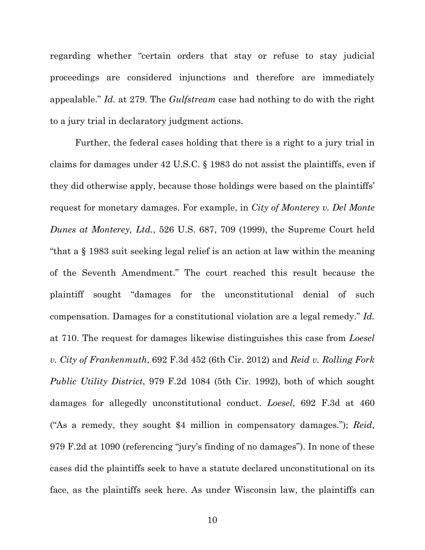regarding whether "certain orders that stay or refuse to stay judicial proceedings are considered injunctions and therefore are immediately appealable." *Id.* at 279. The *Gulfstream* case had nothing to do with the right to a jury trial in declaratory judgment actions.

Further, the federal cases holding that there is a right to a jury trial in claims for damages under 42 U.S.C. § 1983 do not assist the plaintiffs, even if they did otherwise apply, because those holdings were based on the plaintiffs' request for monetary damages. For example, in *City of Monterey v. Del Monte Dunes at Monterey, Ltd.*, 526 U.S. 687, 709 (1999), the Supreme Court held "that a § 1983 suit seeking legal relief is an action at law within the meaning of the Seventh Amendment." The court reached this result because the plaintiff sought "damages for the unconstitutional denial of such compensation. Damages for a constitutional violation are a legal remedy." *Id.* at 710. The request for damages likewise distinguishes this case from *Loesel v. City of Frankenmuth*, 692 F.3d 452 (6th Cir. 2012) and *Reid v. Rolling Fork Public Utility District*, 979 F.2d 1084 (5th Cir. 1992), both of which sought damages for allegedly unconstitutional conduct. *Loesel*, 692 F.3d at 460 ("As a remedy, they sought \$4 million in compensatory damages."); *Reid*, 979 F.2d at 1090 (referencing "jury's finding of no damages"). In none of these cases did the plaintiffs seek to have a statute declared unconstitutional on its face, as the plaintiffs seek here. As under Wisconsin law, the plaintiffs can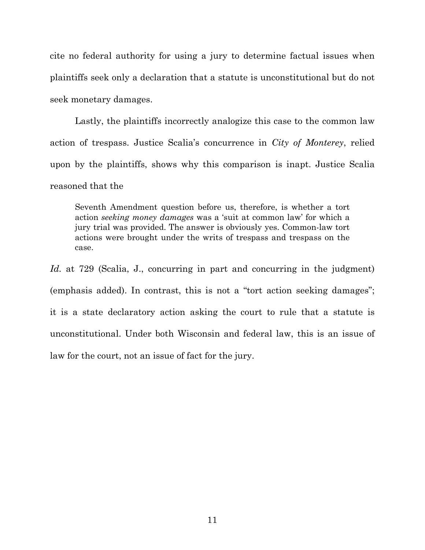cite no federal authority for using a jury to determine factual issues when plaintiffs seek only a declaration that a statute is unconstitutional but do not seek monetary damages.

Lastly, the plaintiffs incorrectly analogize this case to the common law action of trespass. Justice Scalia's concurrence in *City of Monterey*, relied upon by the plaintiffs, shows why this comparison is inapt. Justice Scalia reasoned that the

Seventh Amendment question before us, therefore, is whether a tort action *seeking money damages* was a 'suit at common law' for which a jury trial was provided. The answer is obviously yes. Common-law tort actions were brought under the writs of trespass and trespass on the case.

*Id.* at 729 (Scalia, J., concurring in part and concurring in the judgment) (emphasis added). In contrast, this is not a "tort action seeking damages"; it is a state declaratory action asking the court to rule that a statute is unconstitutional. Under both Wisconsin and federal law, this is an issue of law for the court, not an issue of fact for the jury.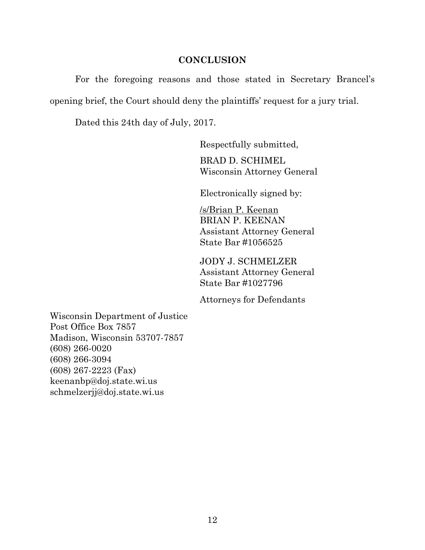#### **CONCLUSION**

For the foregoing reasons and those stated in Secretary Brancel's opening brief, the Court should deny the plaintiffs' request for a jury trial.

Dated this 24th day of July, 2017.

Respectfully submitted,

BRAD D. SCHIMEL Wisconsin Attorney General

Electronically signed by:

/s/Brian P. Keenan BRIAN P. KEENAN Assistant Attorney General State Bar #1056525

JODY J. SCHMELZER Assistant Attorney General State Bar #1027796

Attorneys for Defendants

Wisconsin Department of Justice Post Office Box 7857 Madison, Wisconsin 53707-7857 (608) 266-0020 (608) 266-3094 (608) 267-2223 (Fax) keenanbp@doj.state.wi.us schmelzerjj@doj.state.wi.us